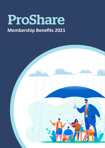# ProShare

## **Membership Benefits 2021**

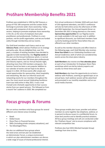#### **ProShare Membership Benefits 2021**

ProShare was established in 1992 by HM Treasury, a group of FTSE 100 companies and the London Stock Exchange to promote wider share ownership. Today, we work with companies of all sizes and across all sectors, helping to promote employee share ownership in the UK, as the voice of employee share plan practitioners and professionals. ProShare is a nonpartisan, not-for-profit organisation, and we are funded solely through membership and our events.

Our Gold level members each have a seat on our **Advisory Panel**, which advises ProShare on its strategy and policy asks. We are delighted that, over the years, a number of existing members have decided to upgrade to Gold membership. Our **flagship events** of the year are the Annual Conference which, in normal years, attracts more than 350 share plan professionals and industry experts, and our Annual Awards night, attracting more than 550 members and guests. Our Summer Social has been a very popular addition to our calendar of events and we hope to be able to repeat it in 2022. All three events offer ample and varied opportunities for sponsorship, client hospitality and networking. We also run informal social and networking events for our members throughout the year. Our most recent annual Celebrating Excellence event was held online in May 2021. It was a real triumph and a fantastic opportunity to hear success stories from our award winners. This followed on from a record 'live' audience in 2020. We completed our

first virtual conference in October 2020 with just short of 250 registered attendees, and 2021's conference will also be held online across the afternoons of 29th and 30th September. Our Annual Awards Dinner on December 6th 2021 is being planned as a live event. **Sponsorship opportunities** for our flagship events are made available in Q1 each year and, in addition to significant discounts, our Gold level members have a priority booking period for these before they are offered to our other members.

As well as the member discounts and offers listed on the following page, each Gold Member also receives **three free tickets** to our *Celebrating Excellence* and *Annual Conference*, both of which are considered key events across the share plans industry.

**Gold Members** also receive one **free attendee place** at each of our *Introduction To Employee Share Plans* workshops which are led by industry experts and usually run three times each year.

**Gold Members** also have the opportunity to co-host a webinar with ProShare, covering an agreed topic on an annual basis. Each webinar session will be advertised and promoted in our monthly newsletter and on our social media channels.

#### **Focus groups & Forums**

We run various members-only focus groups for several different core interest areas including:

- **Brexit**
- Global Issues
- Share Plans in Financial Services
- SMEs (including private company valuations), and
- Tax Advantaged Plans.

We also run additional focus groups where the need arises and last year we established an Administrator Forum, a unique environment in which our plan administrator members can discuss a wide range of issues of shared professional interest. These groups enable plan issuer, provider and advisor members to come together (by telephone, webinar, or in person) to discuss issues in a confidential forum, to share best practice and to identify practical solutions. All focus group meetings and calls are conducted under the 'Chatham House' rule to ensure compliance with relevant competition law.

ProShare also host WEG (Worked Example Group) meetings from time to time.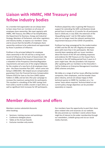### **Liaison with HMRC, HM Treasury and fellow industry bodies**

As a member-led organisation we are always keen to hear views from our members on all areas of employee share ownership. We meet regularly with HMRC, HM Treasury, the Office of Tax Simplification, the Department for Business, Energy and Industrial Strategy, Members of Parliament, and other regulatory and industry bodies, to express our members' views and to ensure that the benefits of employee share ownership continue to be understood and appreciated by those in positions of influence.

ProShare is the principal lobbyist for employee share ownership in the UK and has a strong track record of influence at the heart of Government. We successfully lobbied the European Commission for a relaxation of the Prospectus Directive/Regulation requirements and were one of the original lobbyists for the creation of a new form of all-employee share plan - the Share Incentive Plan (SIP) - which came into being in 2000/2001. We helped secure compensation guarantees from the Financial Services Compensation Scheme (FSCS) for Save as You Earn (SAYE) option holders in 2008, and we led a five year campaign to increase the maximum saving limits for participants. This resulted in a doubling of the SAYE savings limit from £250 a month to £500 a month in April 2014, as well as significant limit increases for SIP participants.

ProShare played key roles in gaining HM Treasury's support for extending the SAYE contributions break period from 6 months to 12 months for all participants back in 2018 and, in July 2020, the extension of the 'disqualifying event' rule for EMI option holders who can no longer meet the relevant working time requirement because of the COVID-19 pandemic.

ProShare has long campaigned for the modernisation of SAYE and the SIP, the UK's flagship all-employee plans with more than 2.5m participants. We have recently been speaking with our issuer members about the future of the SIP and collating responses and evidence for HM Treasury on the impact that a reduction in the SIP holding period from 5 years to 3 years might have. We also provided a full response after speaking with our members to the Chancellor's Call for Evidence on Enterprise Management Incentives (EMI) schemes and plans.

We lobby on a range of ad-hoc issues affecting member companies, their employees, and the broader share plans industry, and we are always happy to field technical queries to HMRC for members on a 'nonames' basis where required. Technical detail on our current policy change objectives can be provided separately on request.

#### **Member discounts and offers**

Members receive substantial discounts when booking:

- Seminars, training courses and workshops
- Conference delegate places
- Tables at the Annual Awards
- Exclusive member-only events

Our members have the opportunity to post their share plans-related roles and vacancies on our website. We also promote our members' events where these might be of interest to the wider membership through our newsletters, LinkedIn group and via our social media channels.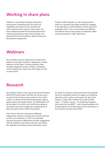#### **Working in share plans**

ProShare is committed to helping share plans professionals to develop their own skills and capabilities (and those of their workforces), and to advance their careers in share plans. Our close relationship with the Chartered Governance Institute training team means that members can also benefit from the Institute's wider training and development programme.

ProShare offers bespoke, on-site training sessions which our members with larger workforces engaged in the operation or administration of share plans find especially useful. This is an extremely cost-effective and efficient way to train groups of employees whilst minimizing impact to 'BAU' operations.

#### **Webinars**

Our members have the opportunity to attend free webinars and to get involved in speaking at monthly webinars on hot topics. Previous webinars have included a Beginners Guide to IFRS2, a Participant Comms Masterclass, How to Set ESG Targets as well as many others

#### **Research**

All members receive a free copy of the annual *ProShare SAYE & SIP* Survey report. No other UK survey covers as much of the UK share plans market as this, which makes it an ideal tool for benchmarking plans against good practice and market trends. The 2020 Report will be launched in July 2021 and it will be fascinating to see exactly how much change was brought about to these key plans by the COVID-19 pandemic.

From time to time we commission additional independent research, working with carefully selected partners and academics. In 2017 we undertook research focussed on Millennials and their engagement with all-employee share plans and share ownership; the 'Attitudes to Employee Share Ownership' report.

For 2020-21 ProShare commissioned the Social Market Forum to undertake research to support our lobbying objectives and to inform and support the Share Plan industry. In May 2021 ProShare launched the SMF report - *"A stake in success - Re-imagining employee share plans for the 2020's"* - with recommendations for broadening the use of share plans as the UK focuses on the economic recovery post COVID.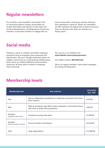#### **Regular newsletters**

Our monthly e-mail newsletter now reaches close to a thousand industry contacts and provides upto-date information and opinions on hot topics and technical developments, including topical articles from members. It also helps members to engage with our

events, know what's coming up, and plan and book their attendance in advance. Within our newsletters we offer members the opportunity to feature resources they are offering in the 'what our members are doing section'.

#### **Social media**

ProShare is active on LinkedIn and Twitter, helping to spread the word on employee share ownership and related topics. We issue 'thought leadership' pieces via LinkedIn, and we also run a fast-growing LinkedIn group which serves as a helpful additional communication channel for all those with an interest in employee share ownership.

You can join us on LinkedIn here: **www.linkedin.com/company/proshare**

Our Twitter handle is **@ProShareUK**.

We try to support members' social media campaigns by sharing and liking posts.

| <b>Membership level</b>                  | <b>Best suited to:</b>                                                                                       | <b>Annual fee</b><br>(exc. VAT) |
|------------------------------------------|--------------------------------------------------------------------------------------------------------------|---------------------------------|
| Sole                                     | Sole or independent practitioner or individual connected to the share<br>plans industry.                     | £110.00                         |
| <b>SME</b>                               | SMEs & companies with 500 or fewer employees; small advisory firms<br>with three or fewer ESO practitioners. | £595.00                         |
| Standard<br>(company / plan issuer)      | Companies issuing share plans.                                                                               | £1,000.00                       |
| Standard<br>(service provider / advisor) | Service providers and advisors.                                                                              | £2,610.00                       |
| Gold                                     | Large organisations.                                                                                         | £11,000.00                      |

#### **Membership levels**